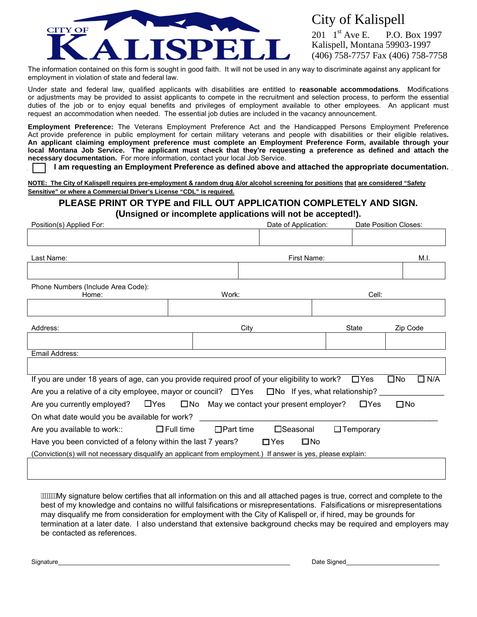

## City of Kalispell

201  $1^{\text{st}}$  Ave E. P.O. Box 1997 Kalispell, Montana 59903-1997 (406) 758-7757 Fax (406) 758-7758

The information contained on this form is sought in good faith. It will not be used in any way to discriminate against any applicant for employment in violation of state and federal law.

Under state and federal law, qualified applicants with disabilities are entitled to **reasonable accommodations**. Modifications or adjustments may be provided to assist applicants to compete in the recruitment and selection process, to perform the essential duties of the job or to enjoy equal benefits and privileges of employment available to other employees. An applicant must request an accommodation when needed. The essential job duties are included in the vacancy announcement.

**Employment Preference:** The Veterans Employment Preference Act and the Handicapped Persons Employment Preference Act provide preference in public employment for certain military veterans and people with disabilities or their eligible relatives**. An applicant claiming employment preference must complete an Employment Preference Form, available through your**  local Montana Job Service. The applicant must check that they're requesting a preference as defined and attach the **necessary documentation.** For more information, contact your local Job Service.

 **I am requesting an Employment Preference as defined above and attached the appropriate documentation.**

**NOTE: The City of Kalispell requires pre-employment & random drug &/or alcohol screening for positions that are considered "Safety Sensitive" or where a Commercial Driver's License "CDL" is required.**

# **PLEASE PRINT OR TYPE and FILL OUT APPLICATION COMPLETELY AND SIGN.**

**(Unsigned or incomplete applications will not be accepted!).**

| Position(s) Applied For:                                                                                       |                                         | Date of Application: |              | Date Position Closes: |                               |
|----------------------------------------------------------------------------------------------------------------|-----------------------------------------|----------------------|--------------|-----------------------|-------------------------------|
|                                                                                                                |                                         |                      |              |                       |                               |
| Last Name:                                                                                                     |                                         |                      | First Name:  |                       | M.I.                          |
|                                                                                                                |                                         |                      |              |                       |                               |
| Phone Numbers (Include Area Code):<br>Home:                                                                    | Work:                                   |                      |              | Cell:                 |                               |
|                                                                                                                |                                         |                      |              |                       |                               |
| Address:                                                                                                       |                                         | City                 |              | <b>State</b>          | Zip Code                      |
|                                                                                                                |                                         |                      |              |                       |                               |
| Email Address:                                                                                                 |                                         |                      |              |                       |                               |
|                                                                                                                |                                         |                      |              |                       |                               |
| If you are under 18 years of age, can you provide required proof of your eligibility to work?                  |                                         |                      |              | $\Box$ Yes            | $\square$ No<br>$\square$ N/A |
| Are you a relative of a city employee, mayor or council? $\square$ Yes $\square$ No If yes, what relationship? |                                         |                      |              |                       |                               |
| Are you currently employed? $\Box$ Yes $\Box$ No May we contact your present employer?                         |                                         |                      |              | $\Box$ Yes            | $\square$ No                  |
| On what date would you be available for work?                                                                  |                                         |                      |              |                       |                               |
| Are you available to work::                                                                                    | $\square$ Full time<br>$\Box$ Part time | □Seasonal            |              | $\Box$ Temporary      |                               |
| Have you been convicted of a felony within the last 7 years?                                                   |                                         | $\square$ Yes        | $\square$ No |                       |                               |
| (Conviction(s) will not necessary disqualify an applicant from employment.) If answer is yes, please explain:  |                                         |                      |              |                       |                               |
|                                                                                                                |                                         |                      |              |                       |                               |

My signature below certifies that all information on this and all attached pages is true, correct and complete to the best of my knowledge and contains no willful falsifications or misrepresentations. Falsifications or misrepresentations may disqualify me from consideration for employment with the City of Kalispell or, if hired, may be grounds for termination at a later date. I also understand that extensive background checks may be required and employers may be contacted as references.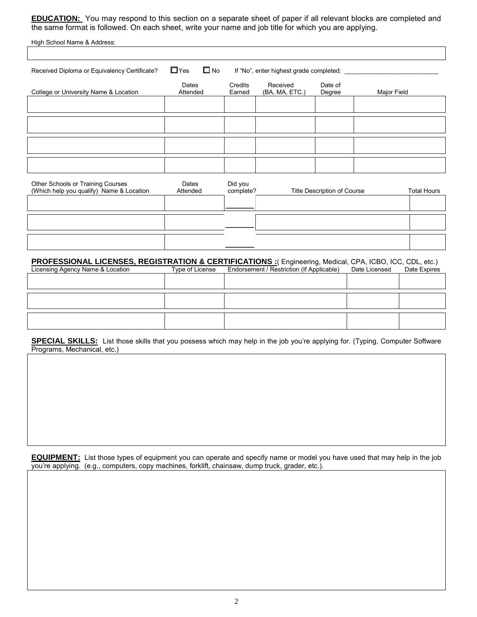**EDUCATION:** You may respond to this section on a separate sheet of paper if all relevant blocks are completed and the same format is followed. On each sheet, write your name and job title for which you are applying.

| High School Name & Address:                  |                            |                   |                                         |                   |             |
|----------------------------------------------|----------------------------|-------------------|-----------------------------------------|-------------------|-------------|
|                                              |                            |                   |                                         |                   |             |
| Received Diploma or Equivalency Certificate? | $\square$ No<br>$\Box$ Yes |                   | If "No", enter highest grade completed: |                   |             |
| College or University Name & Location        | Dates<br>Attended          | Credits<br>Earned | Received<br>(BA, MA, ETC.)              | Date of<br>Degree | Major Field |
|                                              |                            |                   |                                         |                   |             |
|                                              |                            |                   |                                         |                   |             |
|                                              |                            |                   |                                         |                   |             |
|                                              |                            |                   |                                         |                   |             |
|                                              |                            |                   |                                         |                   |             |

| Other Schools or Training Courses<br>(Which help you qualify) Name & Location | Dates<br>Attended | Did you<br>complete? | Title Description of Course | <b>Total Hours</b> |
|-------------------------------------------------------------------------------|-------------------|----------------------|-----------------------------|--------------------|
|                                                                               |                   |                      |                             |                    |
|                                                                               |                   |                      |                             |                    |
|                                                                               |                   |                      |                             |                    |

**PROFESSIONAL LICENSES, REGISTRATION & CERTIFICATIONS :**( Engineering, Medical, CPA, ICBO, ICC, CDL, etc.)<br>Licensing Agency Name & Location Type of License Endorsement / Restriction (If Applicable) Date Licensed Date Expir Endorsement / Restriction (If Applicable)

**SPECIAL SKILLS:** List those skills that you possess which may help in the job you're applying for. (Typing, Computer Software Programs, Mechanical, etc.)

**EQUIPMENT:** List those types of equipment you can operate and specify name or model you have used that may help in the job you're applying. (e.g., computers, copy machines, forklift, chainsaw, dump truck, grader, etc.).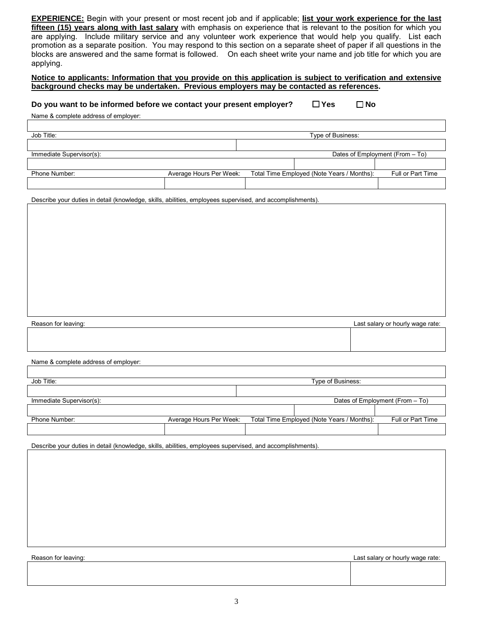**EXPERIENCE:** Begin with your present or most recent job and if applicable; **list your work experience for the last fifteen (15) years along with last salary** with emphasis on experience that is relevant to the position for which you are applying. Include military service and any volunteer work experience that would help you qualify. List each promotion as a separate position. You may respond to this section on a separate sheet of paper if all questions in the blocks are answered and the same format is followed. On each sheet write your name and job title for which you are applying.

#### **Notice to applicants: Information that you provide on this application is subject to verification and extensive background checks may be undertaken. Previous employers may be contacted as references.**

#### **Do you want to be informed before we contact your present employer?**  $\Box$  Yes  $\Box$  No

Name & complete address of employer:

| Job Title:               |                         | Type of Business:                          |                                 |
|--------------------------|-------------------------|--------------------------------------------|---------------------------------|
|                          |                         |                                            |                                 |
| Immediate Supervisor(s): |                         |                                            | Dates of Employment (From - To) |
|                          |                         |                                            |                                 |
| Phone Number:            | Average Hours Per Week: | Total Time Employed (Note Years / Months): | Full or Part Time               |
|                          |                         |                                            |                                 |

Describe your duties in detail (knowledge, skills, abilities, employees supervised, and accomplishments).

| Reason for leaving: | Last salary or hourly wage rate: |
|---------------------|----------------------------------|
|                     |                                  |
|                     |                                  |

Name & complete address of employer:

| Job Title:               |                         | Type of Business:                          |                                 |
|--------------------------|-------------------------|--------------------------------------------|---------------------------------|
|                          |                         |                                            |                                 |
| Immediate Supervisor(s): |                         |                                            | Dates of Employment (From - To) |
|                          |                         |                                            |                                 |
| Phone Number:            | Average Hours Per Week: | Total Time Employed (Note Years / Months): | Full or Part Time               |
|                          |                         |                                            |                                 |

Describe your duties in detail (knowledge, skills, abilities, employees supervised, and accomplishments).

Reason for leaving: Last salary or hourly wage rate: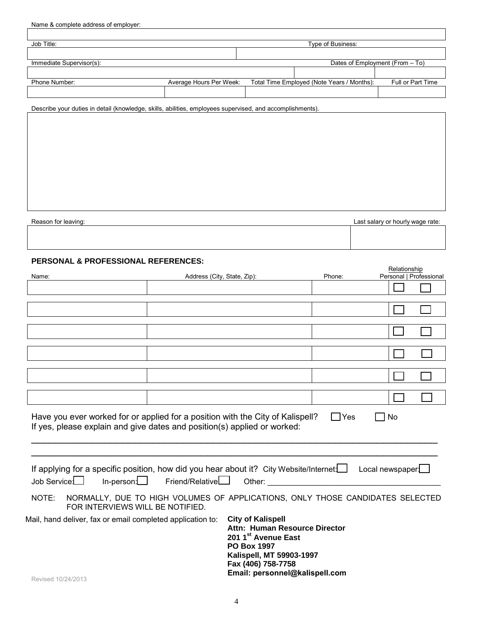| Name & complete address of employer:                                                                      |                         |                                            |                                 |
|-----------------------------------------------------------------------------------------------------------|-------------------------|--------------------------------------------|---------------------------------|
|                                                                                                           |                         |                                            |                                 |
| Job Title:                                                                                                |                         | Type of Business:                          |                                 |
|                                                                                                           |                         |                                            |                                 |
| Immediate Supervisor(s):                                                                                  |                         |                                            | Dates of Employment (From - To) |
|                                                                                                           |                         |                                            |                                 |
| Phone Number:                                                                                             | Average Hours Per Week: | Total Time Employed (Note Years / Months): | Full or Part Time               |
|                                                                                                           |                         |                                            |                                 |
| Describe your duties in detail (knowledge, skills, abilities, employees supervised, and accomplishments). |                         |                                            |                                 |
|                                                                                                           |                         |                                            |                                 |
|                                                                                                           |                         |                                            |                                 |
|                                                                                                           |                         |                                            |                                 |
|                                                                                                           |                         |                                            |                                 |
|                                                                                                           |                         |                                            |                                 |
|                                                                                                           |                         |                                            |                                 |

| Reason for leaving: | Last salary or hourly wage rate: |
|---------------------|----------------------------------|
|                     |                                  |
|                     |                                  |

### **PERSONAL & PROFESSIONAL REFERENCES:**

|                                                                                                                                                                                                                                                                                      |                                   |                                                                                                                                                                                                                                |        | Relationship            |  |
|--------------------------------------------------------------------------------------------------------------------------------------------------------------------------------------------------------------------------------------------------------------------------------------|-----------------------------------|--------------------------------------------------------------------------------------------------------------------------------------------------------------------------------------------------------------------------------|--------|-------------------------|--|
| Name:                                                                                                                                                                                                                                                                                | Address (City, State, Zip):       |                                                                                                                                                                                                                                | Phone: | Personal   Professional |  |
|                                                                                                                                                                                                                                                                                      |                                   |                                                                                                                                                                                                                                |        |                         |  |
|                                                                                                                                                                                                                                                                                      |                                   |                                                                                                                                                                                                                                |        |                         |  |
|                                                                                                                                                                                                                                                                                      |                                   |                                                                                                                                                                                                                                |        |                         |  |
|                                                                                                                                                                                                                                                                                      |                                   |                                                                                                                                                                                                                                |        |                         |  |
|                                                                                                                                                                                                                                                                                      |                                   |                                                                                                                                                                                                                                |        |                         |  |
|                                                                                                                                                                                                                                                                                      |                                   |                                                                                                                                                                                                                                |        |                         |  |
|                                                                                                                                                                                                                                                                                      |                                   |                                                                                                                                                                                                                                |        |                         |  |
|                                                                                                                                                                                                                                                                                      |                                   |                                                                                                                                                                                                                                |        |                         |  |
|                                                                                                                                                                                                                                                                                      |                                   |                                                                                                                                                                                                                                |        |                         |  |
|                                                                                                                                                                                                                                                                                      |                                   |                                                                                                                                                                                                                                |        |                         |  |
|                                                                                                                                                                                                                                                                                      |                                   |                                                                                                                                                                                                                                |        |                         |  |
| Have you ever worked for or applied for a position with the City of Kalispell?<br>If yes, please explain and give dates and position(s) applied or worked:<br>If applying for a specific position, how did you hear about it? City Website/Internet   Local newspaper<br>Job Service | $In-person: \Box$ Friend/Relative | Other: The Company of the Company of the Company of the Company of the Company of the Company of the Company of the Company of the Company of the Company of the Company of the Company of the Company of the Company of the C | Yes    | No                      |  |
| NOTE:<br>FOR INTERVIEWS WILL BE NOTIFIED.                                                                                                                                                                                                                                            |                                   | NORMALLY, DUE TO HIGH VOLUMES OF APPLICATIONS, ONLY THOSE CANDIDATES SELECTED                                                                                                                                                  |        |                         |  |
| Mail, hand deliver, fax or email completed application to:<br>Revised 10/24/2013                                                                                                                                                                                                     |                                   | <b>City of Kalispell</b><br>Attn: Human Resource Director<br>201 1st Avenue East<br><b>PO Box 1997</b><br>Kalispell, MT 59903-1997<br>Fax (406) 758-7758<br>Email: personnel@kalispell.com                                     |        |                         |  |